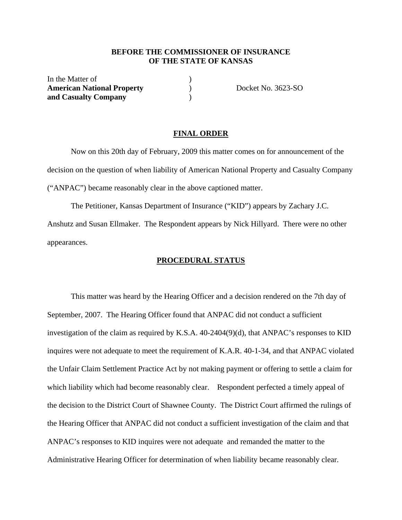## **BEFORE THE COMMISSIONER OF INSURANCE OF THE STATE OF KANSAS**

In the Matter of American National Property **(a)** Docket No. 3623-SO **and Casualty Company** )

### **FINAL ORDER**

 Now on this 20th day of February, 2009 this matter comes on for announcement of the decision on the question of when liability of American National Property and Casualty Company ("ANPAC") became reasonably clear in the above captioned matter.

 The Petitioner, Kansas Department of Insurance ("KID") appears by Zachary J.C. Anshutz and Susan Ellmaker. The Respondent appears by Nick Hillyard. There were no other appearances.

## **PROCEDURAL STATUS**

 This matter was heard by the Hearing Officer and a decision rendered on the 7th day of September, 2007. The Hearing Officer found that ANPAC did not conduct a sufficient investigation of the claim as required by K.S.A. 40-2404(9)(d), that ANPAC's responses to KID inquires were not adequate to meet the requirement of K.A.R. 40-1-34, and that ANPAC violated the Unfair Claim Settlement Practice Act by not making payment or offering to settle a claim for which liability which had become reasonably clear. Respondent perfected a timely appeal of the decision to the District Court of Shawnee County. The District Court affirmed the rulings of the Hearing Officer that ANPAC did not conduct a sufficient investigation of the claim and that ANPAC's responses to KID inquires were not adequate and remanded the matter to the Administrative Hearing Officer for determination of when liability became reasonably clear.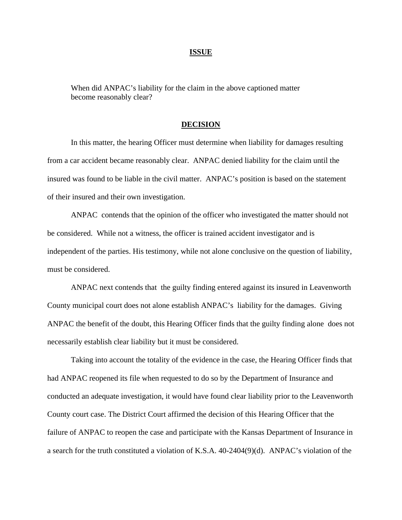#### **ISSUE**

When did ANPAC's liability for the claim in the above captioned matter become reasonably clear?

#### **DECISION**

 In this matter, the hearing Officer must determine when liability for damages resulting from a car accident became reasonably clear. ANPAC denied liability for the claim until the insured was found to be liable in the civil matter. ANPAC's position is based on the statement of their insured and their own investigation.

ANPAC contends that the opinion of the officer who investigated the matter should not be considered. While not a witness, the officer is trained accident investigator and is independent of the parties. His testimony, while not alone conclusive on the question of liability, must be considered.

ANPAC next contends that the guilty finding entered against its insured in Leavenworth County municipal court does not alone establish ANPAC's liability for the damages. Giving ANPAC the benefit of the doubt, this Hearing Officer finds that the guilty finding alone does not necessarily establish clear liability but it must be considered.

Taking into account the totality of the evidence in the case, the Hearing Officer finds that had ANPAC reopened its file when requested to do so by the Department of Insurance and conducted an adequate investigation, it would have found clear liability prior to the Leavenworth County court case. The District Court affirmed the decision of this Hearing Officer that the failure of ANPAC to reopen the case and participate with the Kansas Department of Insurance in a search for the truth constituted a violation of K.S.A. 40-2404(9)(d). ANPAC's violation of the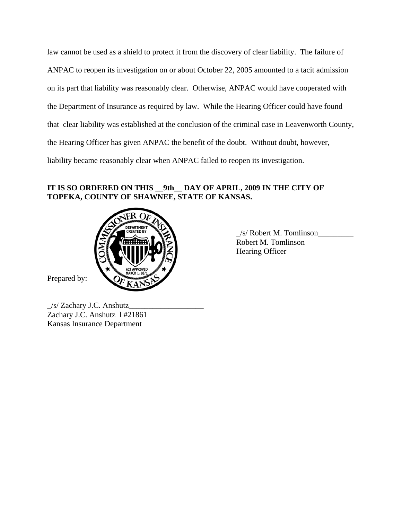law cannot be used as a shield to protect it from the discovery of clear liability. The failure of ANPAC to reopen its investigation on or about October 22, 2005 amounted to a tacit admission on its part that liability was reasonably clear. Otherwise, ANPAC would have cooperated with the Department of Insurance as required by law. While the Hearing Officer could have found that clear liability was established at the conclusion of the criminal case in Leavenworth County, the Hearing Officer has given ANPAC the benefit of the doubt. Without doubt, however, liability became reasonably clear when ANPAC failed to reopen its investigation.

# **IT IS SO ORDERED ON THIS \_\_9th\_\_ DAY OF APRIL, 2009 IN THE CITY OF TOPEKA, COUNTY OF SHAWNEE, STATE OF KANSAS.**



Prepared by:

 $\frac{1}{s}$  Robert M. Tomlinson Robert M. Tomlinson Hearing Officer

\_/s/ Zachary J.C. Anshutz\_\_\_\_\_\_\_\_\_\_\_\_\_\_\_\_\_\_\_ Zachary J.C. Anshutz l #21861 Kansas Insurance Department